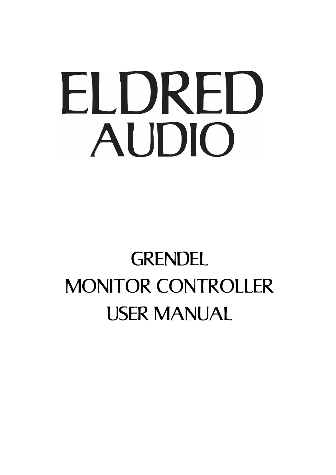# ELDRED AUDIO

# **GRENDEL** MONITOR CONTROLLER USER MANUAL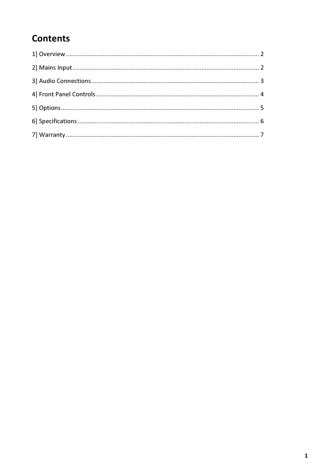#### **Contents**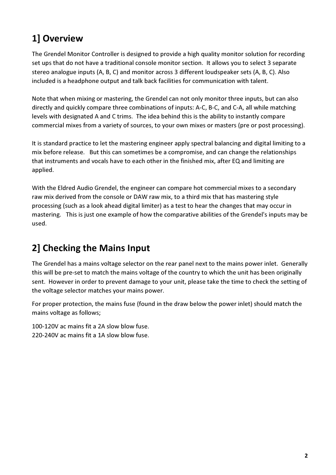### 1] Overview

The Grendel Monitor Controller is designed to provide a high quality monitor solution for recording set ups that do not have a traditional console monitor section. It allows you to select 3 separate stereo analogue inputs (A, B, C) and monitor across 3 different loudspeaker sets (A, B, C). Also included is a headphone output and talk back facilities for communication with talent.

Note that when mixing or mastering, the Grendel can not only monitor three inputs, but can also directly and quickly compare three combinations of inputs: A-C, B-C, and C-A, all while matching levels with designated A and C trims. The idea behind this is the ability to instantly compare commercial mixes from a variety of sources, to your own mixes or masters (pre or post processing).

It is standard practice to let the mastering engineer apply spectral balancing and digital limiting to a mix before release. But this can sometimes be a compromise, and can change the relationships that instruments and vocals have to each other in the finished mix, after EQ and limiting are applied.

With the Eldred Audio Grendel, the engineer can compare hot commercial mixes to a secondary raw mix derived from the console or DAW raw mix, to a third mix that has mastering style processing (such as a look ahead digital limiter) as a test to hear the changes that may occur in mastering. This is just one example of how the comparative abilities of the Grendel's inputs may be used.

#### 2] Checking the Mains Input

The Grendel has a mains voltage selector on the rear panel next to the mains power inlet. Generally this will be pre-set to match the mains voltage of the country to which the unit has been originally sent. However in order to prevent damage to your unit, please take the time to check the setting of the voltage selector matches your mains power.

For proper protection, the mains fuse (found in the draw below the power inlet) should match the mains voltage as follows;

100-120V ac mains fit a 2A slow blow fuse. 220-240V ac mains fit a 1A slow blow fuse.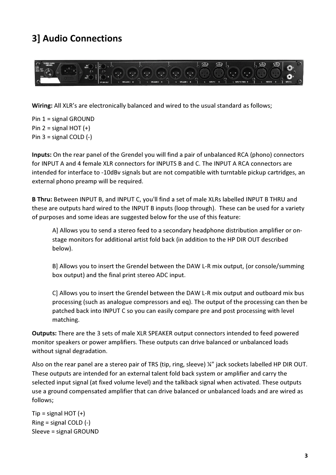#### 3] Audio Connections



Wiring: All XLR's are electronically balanced and wired to the usual standard as follows;

Pin 1 = signal GROUND Pin  $2 =$  signal HOT  $(+)$ Pin  $3 =$  signal COLD  $(-)$ 

Inputs: On the rear panel of the Grendel you will find a pair of unbalanced RCA (phono) connectors for INPUT A and 4 female XLR connectors for INPUTS B and C. The INPUT A RCA connectors are intended for interface to -10dBv signals but are not compatible with turntable pickup cartridges, an external phono preamp will be required.

B Thru: Between INPUT B, and INPUT C, you'll find a set of male XLRs labelled INPUT B THRU and these are outputs hard wired to the INPUT B inputs (loop through). These can be used for a variety of purposes and some ideas are suggested below for the use of this feature:

A] Allows you to send a stereo feed to a secondary headphone distribution amplifier or onstage monitors for additional artist fold back (in addition to the HP DIR OUT described below).

B] Allows you to insert the Grendel between the DAW L-R mix output, (or console/summing box output) and the final print stereo ADC input.

C] Allows you to insert the Grendel between the DAW L-R mix output and outboard mix bus processing (such as analogue compressors and eq). The output of the processing can then be patched back into INPUT C so you can easily compare pre and post processing with level matching.

Outputs: There are the 3 sets of male XLR SPEAKER output connectors intended to feed powered monitor speakers or power amplifiers. These outputs can drive balanced or unbalanced loads without signal degradation.

Also on the rear panel are a stereo pair of TRS (tip, ring, sleeve) ¼" jack sockets labelled HP DIR OUT. These outputs are intended for an external talent fold back system or amplifier and carry the selected input signal (at fixed volume level) and the talkback signal when activated. These outputs use a ground compensated amplifier that can drive balanced or unbalanced loads and are wired as follows;

 $Tip = signal HOT (+)$ Ring = signal COLD (-) Sleeve = signal GROUND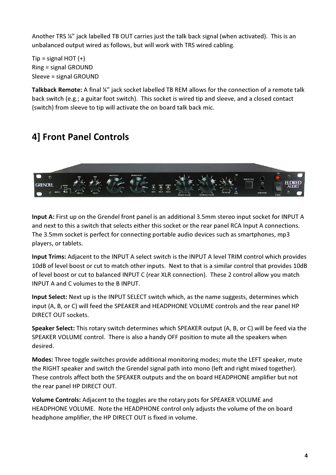Another TRS ¼" jack labelled TB OUT carries just the talk back signal (when activated). This is an unbalanced output wired as follows, but will work with TRS wired cabling.

 $Tip = signal HOT (+)$ Ring = signal GROUND Sleeve = signal GROUND

Talkback Remote: A final ¼" jack socket labelled TB REM allows for the connection of a remote talk back switch (e.g.; a guitar foot switch). This socket is wired tip and sleeve, and a closed contact (switch) from sleeve to tip will activate the on board talk back mic.

#### 4] Front Panel Controls



Input A: First up on the Grendel front panel is an additional 3.5mm stereo input socket for INPUT A and next to this a switch that selects either this socket or the rear panel RCA Input A connections. The 3.5mm socket is perfect for connecting portable audio devices such as smartphones, mp3 players, or tablets.

Input Trims: Adjacent to the INPUT A select switch is the INPUT A level TRIM control which provides 10dB of level boost or cut to match other inputs. Next to that is a similar control that provides 10dB of level boost or cut to balanced INPUT C (rear XLR connection). These 2 control allow you match INPUT A and C volumes to the B INPUT.

Input Select: Next up is the INPUT SELECT switch which, as the name suggests, determines which input (A, B, or C) will feed the SPEAKER and HEADPHONE VOLUME controls and the rear panel HP DIRECT OUT sockets.

Speaker Select: This rotary switch determines which SPEAKER output (A, B, or C) will be feed via the SPEAKER VOLUME control. There is also a handy OFF position to mute all the speakers when desired.

Modes: Three toggle switches provide additional monitoring modes; mute the LEFT speaker, mute the RIGHT speaker and switch the Grendel signal path into mono (left and right mixed together). These controls affect both the SPEAKER outputs and the on board HEADPHONE amplifier but not the rear panel HP DIRECT OUT.

Volume Controls: Adjacent to the toggles are the rotary pots for SPEAKER VOLUME and HEADPHONE VOLUME. Note the HEADPHONE control only adjusts the volume of the on board headphone amplifier, the HP DIRECT OUT is fixed in volume.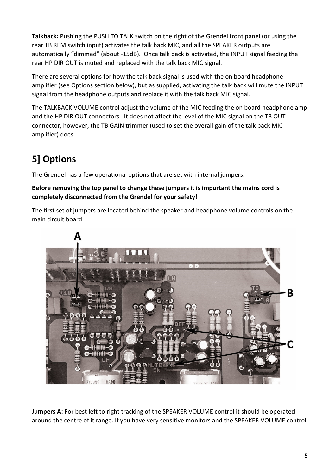Talkback: Pushing the PUSH TO TALK switch on the right of the Grendel front panel (or using the rear TB REM switch input) activates the talk back MIC, and all the SPEAKER outputs are automatically "dimmed" (about -15dB). Once talk back is activated, the INPUT signal feeding the rear HP DIR OUT is muted and replaced with the talk back MIC signal.

There are several options for how the talk back signal is used with the on board headphone amplifier (see Options section below), but as supplied, activating the talk back will mute the INPUT signal from the headphone outputs and replace it with the talk back MIC signal.

The TALKBACK VOLUME control adjust the volume of the MIC feeding the on board headphone amp and the HP DIR OUT connectors. It does not affect the level of the MIC signal on the TB OUT connector, however, the TB GAIN trimmer (used to set the overall gain of the talk back MIC amplifier) does.

## 5] Options

The Grendel has a few operational options that are set with internal jumpers.

#### Before removing the top panel to change these jumpers it is important the mains cord is completely disconnected from the Grendel for your safety!

The first set of jumpers are located behind the speaker and headphone volume controls on the main circuit board.



Jumpers A: For best left to right tracking of the SPEAKER VOLUME control it should be operated around the centre of it range. If you have very sensitive monitors and the SPEAKER VOLUME control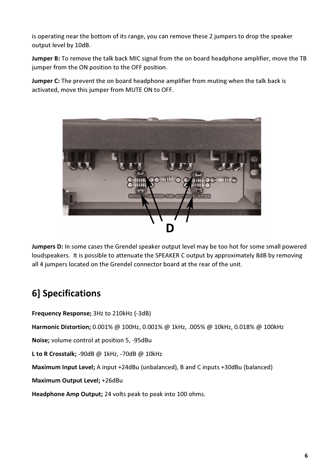is operating near the bottom of its range, you can remove these 2 jumpers to drop the speaker output level by 10dB.

Jumper B: To remove the talk back MIC signal from the on board headphone amplifier, move the TB jumper from the ON position to the OFF position.

**Jumper C:** The prevent the on board headphone amplifier from muting when the talk back is activated, move this jumper from MUTE ON to OFF.



Jumpers D: In some cases the Grendel speaker output level may be too hot for some small powered loudspeakers. It is possible to attenuate the SPEAKER C output by approximately 8dB by removing all 4 jumpers located on the Grendel connector board at the rear of the unit.

### 6] Specifications

Frequency Response; 3Hz to 210kHz (-3dB)

Harmonic Distortion; 0.001% @ 100Hz, 0.001% @ 1kHz, .005% @ 10kHz, 0.018% @ 100kHz

Noise; volume control at position 5, -95dBu

L to R Crosstalk; -90dB @ 1kHz, -70dB @ 10kHz

Maximum Input Level; A input +24dBu (unbalanced), B and C inputs +30dBu (balanced)

Maximum Output Level; +26dBu

Headphone Amp Output; 24 volts peak to peak into 100 ohms.